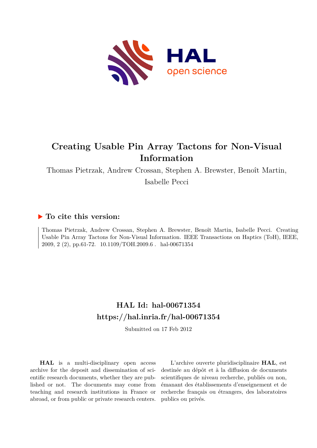

# **Creating Usable Pin Array Tactons for Non-Visual Information**

Thomas Pietrzak, Andrew Crossan, Stephen A. Brewster, Benoît Martin,

Isabelle Pecci

# **To cite this version:**

Thomas Pietrzak, Andrew Crossan, Stephen A. Brewster, Benoît Martin, Isabelle Pecci. Creating Usable Pin Array Tactons for Non-Visual Information. IEEE Transactions on Haptics (ToH), IEEE, 2009, 2 (2), pp.61-72. 10.1109/TOH.2009.6 hal-00671354

# **HAL Id: hal-00671354 <https://hal.inria.fr/hal-00671354>**

Submitted on 17 Feb 2012

**HAL** is a multi-disciplinary open access archive for the deposit and dissemination of scientific research documents, whether they are published or not. The documents may come from teaching and research institutions in France or abroad, or from public or private research centers.

L'archive ouverte pluridisciplinaire **HAL**, est destinée au dépôt et à la diffusion de documents scientifiques de niveau recherche, publiés ou non, émanant des établissements d'enseignement et de recherche français ou étrangers, des laboratoires publics ou privés.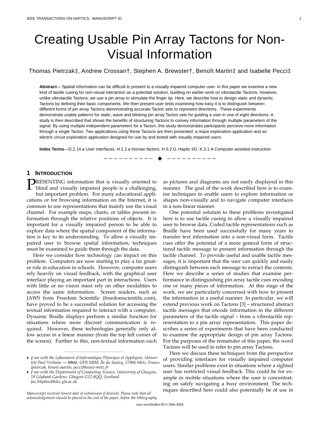# Creating Usable Pin Array Tactons for Non-Visual Information

## Thomas Pietrzak‡, Andrew Crossan†, Stephen A. Brewster†, Benoît Martin‡ and Isabelle Pecci‡

**Abstract**— Spatial information can be difficult to present to a visually impaired computer user. In this paper we examine a new kind of tactile cueing for non-visual interaction as a potential solution, building on earlier work on vibrotactile Tactons. However, unlike vibrotactile Tactons, we use a pin array to stimulate the finger tip. Here, we describe how to design static and dynamic Tactons by defining their basic components. We then present user tests examining how easy it is to distinguish between different forms of pin array Tactons demonstrating accurate Tacton sets to represent directions. These experiments demonstrate usable patterns for static, wave and blinking pin array Tacton sets for guiding a user in one of eight directions. A study is then described that shows the benefits of structuring Tactons to convey information through multiple parameters of the signal. By using multiple independent parameters for a Tacton, this study demonstrates participants perceive more information through a single Tacton. Two applications using these Tactons are then presented: a maze exploration application and an electric circuit exploration application designed for use by and tested with visually impaired users.

**Index Terms**—D.2.14.a User interfaces, H.1.2.a Human factors, H.5.2.G. Haptic I/O, K.3.1.A Computer-assisted instruction

—————————— ——————————

#### **1 INTRODUCTION**

**PRESENTING** information that is visually oriented to blind and visually impaired people is a challenging,  $\blacksquare$  blind and visually impaired people is a challenging, but important problem. For many educational applications or for browsing information on the Internet, it is common to use representations that mainly use the visual channel. For example maps, charts, or tables present information through the relative positions of objects. It is important for a visually impaired person to be able to explore data where the spatial component of the information is key to its understanding. To allow a visually impaired user to browse spatial information, techniques must be examined to guide them through the data.

Here we consider how technology can impact on this problem. Computers are now starting to play a far greater role in education in schools. However, computer users rely heavily on visual feedback, with the graphical user interface playing an important part in interactions. Users with little or no vision must rely on other modalities to access the same information. Screen readers, such as JAWS from Freedom Scientific (freedomscientific.com), have proved to be a successful solution for accessing the textual information required to interact with a computer. Dynamic Braille displays perform a similar function for situations where more discreet communication is required. However, these technologies generally only allow access in a linear manner (from the top left corner of the screen). Further to this, non-textual information such

————————————————

*Manuscript received (insert date of submission if desired). Please note that all acknowledgments should be placed at the end of the paper, before the bibliography.*

as pictures and diagrams are not easily displayed in this manner. The goal of the work described here is to examine techniques to enable users to explore information or shapes non-visually and to navigate computer interfaces in a non-linear manner.

One potential solution to these problems investigated here is to use tactile cueing to allow a visually impaired user to browse data. Coded tactile representations such as Braille have been used successfully for many years to transfer text information into a non-visual form. Tactile cues offer the potential of a more general form of structured tactile message to present information through the tactile channel. To provide useful and usable tactile messages, it is important that the user can quickly and easily distinguish between each message to extract the contents. Here we describe a series of studies that examine performance in distinguishing pin array tactile cues encoding one or many pieces of information. At this stage of the work, we are particularly concerned with how to present the information in a useful manner. In particular, we will extend previous work on Tactons [3] – structured abstract tactile messages that encode information in the different parameters of the tactile signal – from a vibrotactile representation to a pin array representation. This paper describes a series of experiments that have been conducted to examine the appropriate design of pin array Tactons. For the purposes of the remainder of this paper, the word Tactons will be used to refer to pin array Tactons.

Here we discuss these techniques from the perspective of providing interfaces for visually impaired computer users. Similar problems exist in situations where a sighted user has restricted visual feedback. This could be for example in mobile situations where the user is concentrating on safely navigating a busy environment. The techniques described here could also potentially be of use in

<sup>•</sup> *‡ are with the Laboratoire d'Informatique Théorique et Appliquée, Univertité Paul Verlaine — Metz, UFR MIM, Île du Saulcy, 57006 Metz, France {pietrzak, benoit.martin, pecci}@univ-metz.fr*

<sup>•</sup> *† are with the Department of Computing Science, University of Glasgow, 18 Lilybank Gardens, Glasgow G12 8QQ, Scotland {ac,Stephen}@dcs.gla.ac.uk*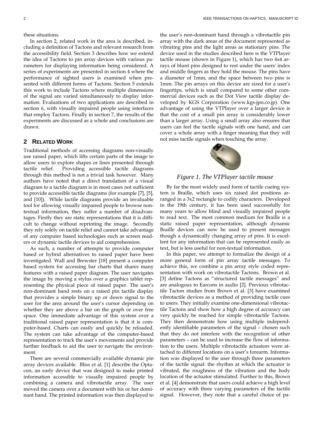these situations.

In section 2, related work in the area is described, including a definition of Tactons and relevant research from the accessibility field. Section 3 describes how we extend the idea of Tactons to pin array devices with various parameters for displaying information being considered. A series of experiments are presented in section 4 where the performance of sighted users is examined when presented with different forms of Tactons. Section 5 extends this work to include Tactons where multiple dimensions of the signal are varied simultaneously to display information. Evaluations of two applications are described in section 6, with visually impaired people using interfaces that employ Tactons. Finally in section 7, the results of the experiments are discussed as a whole and conclusions are drawn.

#### **2 RELATED WORK**

Traditional methods of accessing diagrams non-visually use raised paper, which lifts certain parts of the image to allow users to explore shapes or lines presented through tactile relief. Providing accessible tactile diagrams through this method is not a trivial task however. Many authors have noted that a direct translation of a visual diagram to a tactile diagram is in most cases not sufficient to provide accessible tactile diagrams (for example [7], [5], and [10]). While tactile diagrams provide an invaluable tool for allowing visually impaired people to browse nontextual information, they suffer a number of disadvantages. Firstly they are static representations that it is difficult to change without reprinting the image. Secondly they rely solely on tactile relief and cannot take advantage of any computer based technologies such as screen readers or dynamic tactile devices to aid comprehension.

As such, a number of attempts to provide computer based or hybrid alternatives to raised paper have been investigated. Wall and Brewster [18] present a computer based system for accessing bar charts that shares many features with a raised paper diagram. The user navigates the image by moving a stylus over a graphics tablet representing the physical piece of raised paper. The user's non-dominant hand rests on a raised pin tactile display that provides a simple binary up or down signal to the user for the area around the user's cursor depending on whether they are above a bar on the graph or over free space. One immediate advantage of this system over a traditional raised paper representation is that it is computer-based. Charts can easily and quickly be reloaded. The system can take advantage of the computer-based representation to track the user's movements and provide further feedback to aid the user to navigate the environment.

There are several commercially available dynamic pin array devices available. Bliss et al. [1] describe the Optacon, an early device that was designed to make printed information accessible to visually impaired people by combining a camera and vibrotactile array. The user moved the camera over a document with his or her dominant hand. The printed information was then displayed to

the user's non-dominant hand through a vibrotactile pin array with the dark areas of the document represented as vibrating pins and the light areas as stationary pins. The device used in the studies described here is the VTPlayer tactile mouse (shown in Figure 1), which has two 4x4 arrays of blunt pins designed to rest under the users' index and middle fingers as they hold the mouse. The pins have a diameter of 1mm, and the space between two pins is 1mm. The pin arrays on this device are sized for a user's fingertips, which is small compared to some other commercial devices such as the Dot View tactile display developed by KGS Corporation (www.kgs-jpn.co.jp). One advantage of using the VTPlayer over a larger device is that the cost of a small pin array is considerably lower than a larger array. Using a small array also ensures that users can feel the tactile signals with one hand, and can cover a whole array with a finger meaning that they will not miss tactile signals when touching the array.



*Figure 1. The VTPlayer tactile mouse* 

By far the most widely used form of tactile cueing system is Braille, which uses six raised dot positions arranged in a 3x2 rectangle to codify characters. Developed in the 19th century, it has been used successfully for many years to allow blind and visually impaired people to read text. The most common medium for Braille is a static raised paper representation, although dynamic Braille devices can now be used to present messages though a dynamically changing array of pins. It is excellent for any information that can be represented easily as text, but is less useful for non-textual information.

In this paper, we attempt to formalize the design of a more general form of pin array tactile messages. To achieve this, we combine a pin array style coded representation with work on vibrotactile Tactons. Brown et al. [3] define Tactons as "structured tactile messages" and are analogous to Earcons in audio [2]. Previous vibrotactile Tacton studies from Brown et al. [3] have examined vibrotactile devices as a method of providing tactile cues to users. They initially examine one-dimensional vibrotactile Tactons and show how a high degree of accuracy can very quickly be reached for simple vibrotactile Tactons. They then demonstrate how using multiple independently identifiable parameters of the signal – chosen such that they do not interfere with the recognition of other parameters – can be used to increase the flow of information to the users. Multiple vibrotactile actuators were attached to different locations on a user's forearm. Information was displayed to the user through three parameters of the tactile signal: the rhythm at which the actuator is vibrated, the roughness of the vibration and the body location of the actuator stimulated. Further to this, Brown et al. [4] demonstrate that users could achieve a high level of accuracy with three varying parameters of the tactile signal. However, they note that a careful choice of pa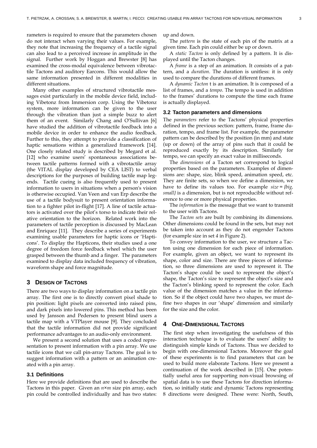rameters is required to ensure that the parameters chosen do not interact when varying their values. For example, they note that increasing the frequency of a tactile signal can also lead to a perceived increase in amplitude in the signal. Further work by Hoggan and Brewster [8] has examined the cross-modal equivalence between vibrotactile Tactons and auditory Earcons. This would allow the same information presented in different modalities in different situations.

Many other examples of structured vibrotactile messages exist particularly in the mobile device field, including Vibetonz from Immersion corp. Using the Vibetonz system, more information can be given to the user through the vibration than just a simple buzz to alert them of an event. Similarly Chang and O'Sullivan [6] have studied the addition of vibrotactile feedback into a mobile device in order to enhance the audio feedback. Further to this, they attempt to provide a classification of haptic sensations within a generalized framework [14]. One closely related study is described by Megard et al. [12] who examine users' spontaneous associations between tactile patterns formed with a vibrotactile array (the VITAL display developed by CEA LIST) to verbal descriptions for the purposes of building tactile map legends. Tactile cueing is also frequently used to present information to users in situations when a person's vision is otherwise occupied. Van Veen and van Erp describe the use of a tactile bodysuit to present orientation information to a fighter pilot in-flight [17]. A line of tactile actuators is activated over the pilot's torso to indicate their relative orientation to the horizon. Related work into the parameters of tactile perception is discussed by MacLean and Enriquez [11]. They describe a series of experiments examining usable parameters for haptic icons or 'Hapticons'. To display the Hapticons, their studies used a one degree of freedom force feedback wheel which the user grasped between the thumb and a finger. The parameters examined to display data included frequency of vibration, waveform shape and force magnitude.

#### **3 DESIGN OF TACTONS**

There are two ways to display information on a tactile pin array. The first one is to directly convert pixel shade to pin position: light pixels are converted into raised pins, and dark pixels into lowered pins. This method has been used by Jansson and Pedersen to present blind users a tactile map with a VTPlayer mouse [9]. They concluded that the tactile information did not provide significant performance advantages to an audio-only environment.

We present a second solution that uses a coded representation to present information with a pin array. We use tactile icons that we call pin-array Tactons. The goal is to suggest information with a pattern or an animation created with a pin array.

#### **3.1 Definitions**

Here we provide definitions that are used to describe the Tactons in this paper. Given an *n×m* size pin array, each pin could be controlled individually and has two states: up and down.

The *pattern* is the state of each pin of the matrix at a given time. Each pin could either be up or down.

A *static Tacton* is only defined by a pattern. It is displayed until the Tacton changes.

A *frame* is a step of an animation. It consists of a pattern, and a *duration*. The duration is unitless: it is only used to compare the durations of different frames.

A *dynamic Tacton* t is an animation. It is composed of a list of frames, and a *tempo*. The tempo is used in addition to the frames' durations to compute the time each frame is actually displayed.

#### **3.2 Tacton parameters and dimensions**

The *parameters* refer to the Tactons' physical properties defined in the previous section: pattern, frame, frame duration, tempo, and frame list. For example, the parameter pattern can be described by the position (in mm) and state (up or down) of the array of pins such that it could be reproduced exactly by its description. Similarly for tempo, we can specify an exact value in milliseconds.

The *dimensions* of a Tacton set correspond to logical properties based on the parameters. Examples of dimensions are: shape, size, blink speed, animation speed, etc. They are finite sets, so when we define a dimension, we have to define its values too. For example *size = {big, small}* is a dimension, but is not reproducible without reference to one or more physical properties.

The *information* is the message that we want to transmit to the user with Tactons.

The *Tacton sets* are built by combining its dimensions. Other dimensions could be found in the sets, but may not be taken into account as they do not engender Tactons (for example size in set *4* in Figure 2).

To convey information to the user, we structure a Tacton using one dimension for each piece of information. For example, given an object, we want to represent its shape, color and size. There are three pieces of information, so three dimensions are used to represent it. The Tacton's shape could be used to represent the object's shape, the Tacton's size to represent the object's size and the Tacton's blinking speed to represent the color. Each value of the dimension matches a value in the information. So if the object could have two shapes, we must define two shapes in our 'shape' dimension and similarly for the size and the color.

#### **4 ONE-DIMENSIONAL TACTONS**

The first step when investigating the usefulness of this interaction technique is to evaluate the users' ability to distinguish simple kinds of Tactons. Thus we decided to begin with one-dimensional Tactons. Moreover the goal of these experiments is to find parameters that can be used to build more elaborate Tactons. Here we present a continuation of the work described in [15]. One potentially useful area for supporting non-visual browsing of spatial data is to use these Tactons for direction information, so initially static and dynamic Tactons representing 8 directions were designed. These were: North, South,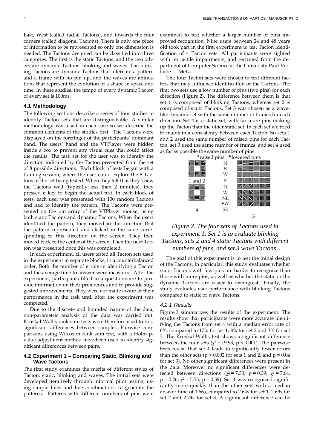East, West (called radial Tactons), and towards the four corners (called diagonal Tactons). There is only one piece of information to be represented so only one dimension is needed. The Tactons designed can be classified into three categories. The first is the static Tactons, and the two others are dynamic Tactons: blinking and waves. The blinking Tactons are dynamic Tactons that alternate a pattern and a frame with no pin up, and the waves are animations that represent the evolution of a shape in space and time. In these studies, the tempo of every dynamic Tacton of every set is 100ms.

#### **4.1 Methodology**

The following sections describe a series of four studies to identify Tacton sets that are distinguishable. A similar methodology was used in each case so we describe the common elements of the studies first. The Tactons were displayed on the forefinger of the participants' dominant hand. The users' hand and the VTPlayer were hidden inside a box to prevent any visual cues that could affect the results. The task set for the user was to identify the direction indicated by the Tacton presented from the set of 8 possible directions. Each block of tests began with a training session, where the user could explore the 8 Tactons of the set being tested. When they felt that they knew the Tactons well (typically less than 2 minutes), they pressed a key to begin the actual test. In each block of tests, each user was presented with 100 random Tactons and had to identify the pattern. The Tactons were presented on the pin array of the VTPlayer mouse, using both static Tactons and dynamic Tactons. When the users identified the pattern, they moved in the direction that the pattern represented and clicked in the zone corresponding to this direction on the screen. They then moved back to the center of the screen. Then the next Tacton was presented once this was completed.

In each experiment, all users tested all Tacton sets used in the experiment in separate blocks, in a counterbalanced order. Both the number of errors in identifying a Tacton and the average time to answer were measured. After the experiment, participants filled in a questionnaire to provide information on their preferences and to provide suggested improvements. They were not made aware of their performance in the task until after the experiment was completed.

Due to the discrete and bounded nature of the data, non-parametric analysis of the data was carried out. Kruskal-Wallis rank sum tests were therefore used to find significant differences between samples. Pairwise comparisons using Wilcoxon rank sum test, with a Holm pvalue adjustment method have been used to identify significant differences between pairs.

#### **4.2 Experiment 1 – Comparing Static, Blinking and Wave Tactons**

The first study examines the merits of different styles of Tacton: static, blinking and waves. The initial sets were developed iteratively through informal pilot testing, using simple lines and line combinations to generate the patterns. Patterns with different numbers of pins were examined to test whether a larger number of pins improved recognition. Nine users between 24 and 48 years old took part in the first experiment to test Tacton identification of 4 Tacton sets. All participants were sighted with no tactile impairments, and recruited from the department of Computer Science at the University Paul Verlaine — Metz.

The four Tacton sets were chosen to test different factors that may influence identification of the Tactons. The first two sets use a low number of pins (two pins) for each direction (Figure 2). The difference between them is that set 1 is composed of blinking Tactons, whereas set 2 is composed of static Tactons. Set 3 was chosen as a wavelike dynamic set with the same number of frames for each direction. Set 4 is a static set, with far more pins making up the Tacton than the other static set. In each set we tried to maintain a consistency between each Tacton. So sets 1 and 2 used the same number of raised pins for each Tacton, set 3 used the same number of frames, and set 4 used as far as possible the same number of pins.

|         |           | ° raised pins • lowered pins |
|---------|-----------|------------------------------|
|         | N         |                              |
|         | S         |                              |
|         | W         |                              |
| 1 and 2 | E         |                              |
|         | N         |                              |
|         | W         |                              |
|         | NE        |                              |
|         | SW        |                              |
| 4       | <b>SE</b> |                              |
|         |           | З                            |

# *Figure 2. The four sets of Tactons used in experiment 1. Set 1 is to evaluate blinking Tactons, sets 2 and 4 static Tactons with different numbers of pins, and set 3 wave Tactons.*

The goal of this experiment is to test the initial design of the Tactons. In particular, this study evaluates whether static Tactons with few pins are harder to recognize than those with more pins, as well as whether the static or the dynamic Tactons are easier to distinguish. Finally, the study evaluates user performance with blinking Tactons compared to static or wave Tactons.

#### *4.2.1 Results*

Figure 3 summarizes the results of the experiment. The results show that participants were more accurate identifying the Tactons from set 4 with a median error rate of 0%, compared to 17% for set 1, 8% for set 2 and 3% for set 3. The Kruskal-Wallis test shows a significant difference between the four sets ( $\chi^2$  = 19.93, p < 0.001). The pairwise tests reveal that set 4 leads to significantly fewer errors than the other sets ( $p < 0.002$  for sets 1 and 2, and  $p = 0.04$ for set 3). No other significant differences were present in the data. Moreover no significant differences were detected between directions ( $\chi^2$  = 7.33, p = 0.39;  $\chi^2$  = 7.64,  $p = 0.26$ ;  $\chi^2 = 5.53$ ,  $p = 0.59$ ). Set 4 was recognized significantly more quickly than the other sets with a median answer time of 1.66s, compared to 2.64s for set 1, 2.69s for set 2 and 2.74s for set 3. A significant difference can be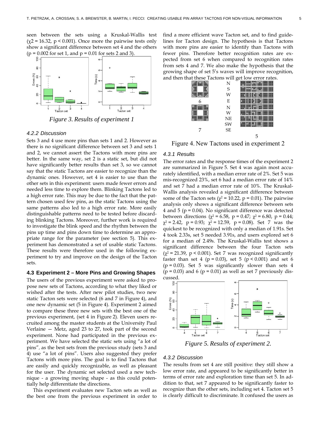seen between the sets using a Kruskal-Wallis test  $(\chi^2 = 16.32, p \le 0.001)$ . Once more the pairwise tests only show a significant difference between set 4 and the others  $(p = 0.002$  for set 1, and  $p = 0.01$  for sets 2 and 3).



*Figure 3. Results of experiment 1* 

#### *4.2.2 Discussion*

Sets 3 and 4 use more pins than sets 1 and 2. However as there is no significant difference between set 3 and sets 1 and 2, we cannot assert the Tactons with more pins are better. In the same way, set 2 is a static set, but did not have significantly better results than set 3, so we cannot say that the static Tactons are easier to recognize than the dynamic ones. However, set 4 is easier to use than the other sets in this experiment: users made fewer errors and needed less time to explore them. Blinking Tactons led to a high error rate. This may be due to the fact that the pattern chosen used few pins, as the static Tactons using the same patterns also led to a high error rate. More easily distinguishable patterns need to be tested before discarding blinking Tactons. Moreover, further work is required to investigate the blink speed and the rhythm between the pins up time and pins down time to determine an appropriate range for the parameter (see section 5). This experiment has demonstrated a set of usable static Tactons. These results were therefore used in the following experiment to try and improve on the design of the Tacton sets.

#### **4.3 Experiment 2 – More Pins and Growing Shapes**

The users of the previous experiment were asked to propose new sets of Tactons, according to what they liked or wished after the tests. After new pilot studies, two new static Tacton sets were selected (6 and 7 in Figure 4), and one new dynamic set (5 in Figure 4). Experiment 2 aimed to compare these three new sets with the best one of the previous experiment, (set 4 in Figure 2). Eleven users recruited among the master students at the University Paul Verlaine — Metz, aged 23 to 27, took part of the second experiment. None had participated in the previous experiment. We have selected the static sets using "a lot of pins", as the best sets from the previous study (sets 3 and 4) use "a lot of pins". Users also suggested they prefer Tactons with more pins. The goal is to find Tactons that are easily and quickly recognizable, as well as pleasant for the user. The dynamic set selected used a new technique - a growing moving shape - as this could potentially help differentiate the directions.

This experiment evaluates new Tacton sets as well as the best one from the previous experiment in order to find a more efficient wave Tacton set, and to find guidelines for Tacton design. The hypothesis is that Tactons with more pins are easier to identify than Tactons with fewer pins. Therefore better recognition rates are expected from set 6 when compared to recognition rates from sets 4 and 7. We also make the hypothesis that the growing shape of set 5's waves will improve recognition,



Figure 4. New Tactons used in experiment 2

#### *4.3.1 Results*

The error rates and the response times of the experiment 2 are summarized in Figure 5. Set 4 was again most accurately identified, with a median error rate of 2%. Set 5 was mis-recognized 23%, set 6 had a median error rate of 14% and set 7 had a median error rate of 10%. The Kruskal-Wallis analysis revealed a significant difference between some of the Tacton sets ( $\chi^2$  = 10.22, p = 0.01). The pairwise analysis only shows a significant difference between sets 4 and 5 ( $p = 0.04$ ). No significant difference was detected between directions ( $\chi^2$  = 6.58, p = 0.47;  $\chi^2$  = 6.80, p = 0.44;  $\chi^2$  = 2.42, p = 0.93;  $\chi^2$  = 12.59, p = 0.08). Set 7 was the quickest to be recognized with only a median of 1.91s. Set 4 took 2.33s, set 5 needed 3.91s, and users explored set 6 for a median of 2.49s. The Kruskal-Wallis test shows a significant difference between the four Tacton sets  $(\chi^2 = 21.39, p \le 0.001)$ . Set 7 was recognized significantly faster than set 4 ( $p = 0.03$ ), set 5 ( $p < 0.001$ ) and set 6  $(p = 0.03)$ . Set 5 was significantly slower than sets 4  $(p = 0.03)$  and 6  $(p = 0.01)$  as well as set 7 previously dis-



*Figure 5. Results of experiment 2.* 

#### *4.3.2 Discussion*

The results from set 4 are still positive: they still show a low error rate, and appeared to be significantly better in terms of error rate and exploration time than set 5. In addition to that, set 7 appeared to be significantly faster to recognize than the other sets, including set 4. Tacton set 5 is clearly difficult to discriminate. It confused the users as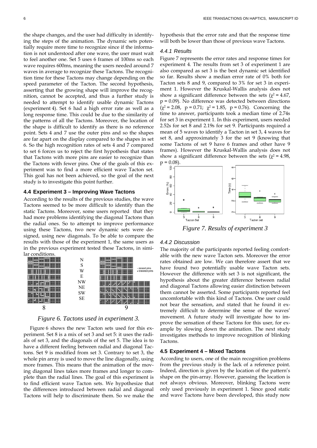the shape changes, and the user had difficulty in identifying the steps of the animation. The dynamic sets potentially require more time to recognize since if the information is not understood after one wave, the user must wait to feel another one. Set 5 uses 6 frames of 100ms so each wave requires 600ms, meaning the users needed around 7 waves in average to recognize these Tactons. The recognition time for these Tactons may change depending on the speed parameter of the Tacton. The second hypothesis, asserting that the growing shape will improve the recognition, cannot be accepted, and thus a further study is needed to attempt to identify usable dynamic Tactons (experiment 4). Set 6 had a high error rate as well as a long response time. This could be due to the similarity of the patterns of all the Tactons. Moreover, the location of the shape is difficult to identify as there is no reference point. Sets 4 and 7 use the outer pins and so the shapes are far apart on the display compared to the shapes in set 6. So the high recognition rates of sets 4 and 7 compared to set 6 forces us to reject the first hypothesis that states that Tactons with more pins are easier to recognize than the Tactons with fewer pins. One of the goals of this experiment was to find a more efficient wave Tacton set. This goal has not been achieved, so the goal of the next study is to investigate this point further.

#### **4.4 Experiment 3 – Improving Wave Tactons**

According to the results of the previous studies, the wave Tactons seemed to be more difficult to identify than the static Tactons. Moreover, some users reported that they had more problems identifying the diagonal Tactons than the radial ones. So to attempt to improve performance using these Tactons, two new dynamic sets were designed, using new diagonals. To be able to compare the results with those of the experiment 1, the same users as in the previous experiment tested these Tactons, in simi-



*Figure 6. Tactons used in experiment 3.* 

Figure 6 shows the new Tacton sets used for this experiment. Set 8 is a mix of set 3 and set 5: it uses the radials of set 3, and the diagonals of the set 5. The idea is to have a different feeling between radial and diagonal Tactons. Set 9 is modified from set 3. Contrary to set 3, the whole pin array is used to move the line diagonally, using more frames. This means that the animation of the moving diagonal lines takes more frames and longer to complete than the radial lines. The goal of this experiment is to find efficient wave Tacton sets. We hypothesize that the differences introduced between radial and diagonal Tactons will help to discriminate them. So we make the

hypothesis that the error rate and that the response time will both be lower than those of previous wave Tactons.

#### *4.4.1 Results*

Figure 7 represents the error rates and response times for experiment 4. The results from set 3 of experiment 1 are also compared as set 3 is the best dynamic set identified so far. Results show a median error rate of 0% both for Tacton sets 8 and 9, compared to 3% for set 3 in experiment 1. However the Kruskal-Wallis analysis does not show a significant difference between the sets ( $\chi^2$  = 4.67,  $p = 0.09$ ). No difference was detected between directions  $(\chi^2 = 2.08, p = 0.71; \chi^2 = 1.85, p = 0.76)$ . Concerning the time to answer, participants took a median time of 2.74s for set 3 in experiment 1. In this experiment, users needed 2.52s for set 8 and 2.19s for set 9. Participants required a mean of 5 waves to identify a Tacton in set 3, 4 waves for set 8, and approximately 3 for the set 9 (knowing that some Tactons of set 9 have 6 frames and other have 9 frames). However the Kruskal-Wallis analysis does not show a significant difference between the sets ( $\chi^2$  = 4.98,  $p = 0.08$ ).



*Figure 7. Results of experiment 3* 

#### *4.4.2 Discussion*

The majority of the participants reported feeling comfortable with the new wave Tacton sets. Moreover the error rates obtained are low. We can therefore assert that we have found two potentially usable wave Tacton sets. However the difference with set 3 is not significant, the hypothesis about the greater difference between radial and diagonal Tactons allowing easier distinction between them cannot be asserted. Some participants reported feel uncomfortable with this kind of Tactons. One user could not bear the sensation, and stated that he found it extremely difficult to determine the sense of the waves' movement. A future study will investigate how to improve the sensation of these Tactons for this user, for example by slowing down the animation. The next study investigates methods to improve recognition of blinking Tactons.

## **4.5 Experiment 4 – Mixed Tactons**

According to users, one of the main recognition problems from the previous study is the lack of a reference point. Indeed, direction is given by the location of the pattern's shape on the pin-array. However, guessing the location is not always obvious. Moreover, blinking Tactons were only used previously in experiment 1. Since good static and wave Tactons have been developed, this study now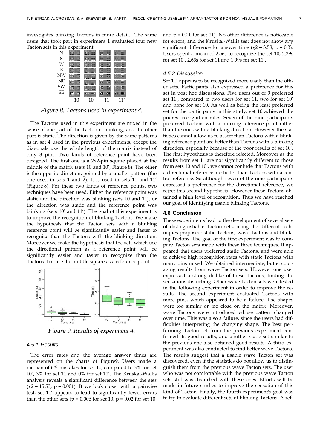investigates blinking Tactons in more detail. The same users that took part in experiment 1 evaluated four new Tacton sets in this experiment.

| N         |    |      |           |                              |
|-----------|----|------|-----------|------------------------------|
| S         |    |      |           |                              |
| W         |    |      |           |                              |
| E         |    |      |           |                              |
| NW        |    | 33.7 |           |                              |
| NE        |    |      | <b>TT</b> | $\overline{1}$<br><b>TTT</b> |
| SW        |    |      |           |                              |
| <b>SE</b> |    |      |           |                              |
|           | 10 | 10'  | 11        | 11'                          |

## *Figure 8. Tactons used in experiment 4.*

The Tactons used in this experiment are mixed in the sense of one part of the Tacton is blinking, and the other part is static. The direction is given by the same patterns as in set 4 used in the previous experiments, except the diagonals use the whole length of the matrix instead of only 3 pins. Two kinds of reference point have been designed. The first one is a 2x2-pin square placed at the middle of the matrix (sets 10 and 10', Figure 8). The other is the opposite direction, pointed by a smaller pattern (the one used in sets 1 and 2). It is used in sets 11 and 11' (Figure 8). For these two kinds of reference points, two techniques have been used. Either the reference point was static and the direction was blinking (sets 10 and 11), or the direction was static and the reference point was blinking (sets 10' and 11'). The goal of this experiment is to improve the recognition of blinking Tactons. We make the hypothesis that the Tacton sets with a blinking reference point will be significantly easier and faster to recognize than the Tactons with the blinking direction. Moreover we make the hypothesis that the sets which use the directional pattern as a reference point will be significantly easier and faster to recognize than the Tactons that use the middle square as a reference point.



*Figure 9. Results of experiment 4.* 

#### *4.5.1 Results*

The error rates and the average answer times are represented on the charts of Figure9. Users made a median of 6% mistakes for set 10, compared to 3% for set 10', 3% for set 11 and 0% for set 11'. The Kruskal-Wallis analysis reveals a significant difference between the sets  $(\chi^2 = 15.53, p = 0.001)$ . If we look closer with a pairwise test, set 11' appears to lead to significantly fewer errors than the other sets ( $p = 0.006$  for set 10,  $p = 0.02$  for set 10'

and  $p = 0.01$  for set 11). No other difference is noticeable for errors, and the Kruskal-Wallis test does not show any significant difference for answer time ( $\chi$ 2 = 3.58, p = 0.3). Users spent a mean of 2.56s to recognize the set 10, 2.39s for set 10', 2.63s for set 11 and 1.99s for set 11'.

#### *4.5.2 Discussion*

Set 11' appears to be recognized more easily than the other sets. Participants also expressed a preference for this set in post hoc discussions. Five users out of 9 preferred set 11', compared to two users for set 11, two for set 10' and none for set 10. As well as being the least preferred set for the participants in this study, set 10 achieved the poorest recognition rates. Seven of the nine participants preferred Tactons with a blinking reference point rather than the ones with a blinking direction. However the statistics cannot allow us to assert than Tactons with a blinking reference point are better than Tactons with a blinking direction, especially because of the poor results of set 10'. The first hypothesis is therefore rejected. Moreover as the results from set 11 are not significantly different to those from sets 10 and 10', we cannot conlude that Tactons with a directional reference are better than Tactons with a central reference. So although seven of the nine participants expressed a preference for the directional reference, we reject this second hypothesis. However these Tactons obtained a high level of recognition. Thus we have reached our goal of identifying usable blinking Tactons.

#### **4.6 Conclusion**

These experiments lead to the development of several sets of distinguishable Tacton sets, using the different techniques proposed: static Tactons, wave Tactons and blinking Tactons. The goal of the first experiment was to compare Tacton sets made with these three techniques. It appeared that users preferred static Tactons, and were able to achieve high recognition rates with static Tactons with many pins raised. We obtained intermediate, but encouraging results from wave Tacton sets. However one user expressed a strong dislike of these Tactons, finding the sensations disturbing. Other wave Tacton sets were tested in the following experiment in order to improve the results. The second experiment evaluated Tactons with more pins, which appeared to be a failure. The shapes were too similar or too close on the matrix. Moreover, wave Tactons were introduced whose pattern changed over time. This was also a failure, since the users had difficulties interpreting the changing shape. The best performing Tacton set from the previous experiment confirmed its good results, and another static set similar to the previous one also obtained good results. A third experiment was also conducted to find better wave Tactons. The results suggest that a usable wave Tacton set was discovered, even if the statistics do not allow us to distinguish them from the previous wave Tacton sets. The user who was not comfortable with the previous wave Tacton sets still was disturbed with these ones. Efforts will be made in future studies to improve the sensation of this kind of Tacton. Finally, the fourth experiment's goal was to try to evaluate different sets of blinking Tactons. A ref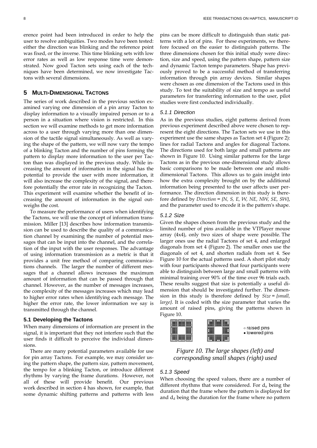erence point had been introduced in order to help the user to resolve ambiguities. Two modes have been tested: either the direction was blinking and the reference point was fixed, or the inverse. This time blinking sets with low error rates as well as low response time were demonstrated. Now good Tacton sets using each of the techniques have been determined, we now investigate Tactons with several dimensions.

## **5 MULTI-DIMENSIONAL TACTONS**

The series of work described in the previous section examined varying one dimension of a pin array Tacton to display information to a visually impaired person or to a person in a situation where vision is restricted. In this section we will examine methods to get more information across to a user through varying more than one dimension of the tactile signal simultaneously. As well as varying the shape of the pattern, we will now vary the tempo of a blinking Tacton and the number of pins forming the pattern to display more information to the user per Tacton than was displayed in the previous study. While increasing the amount of information in the signal has the potential to provide the user with more information, it will also increase the complexity of the signal, and therefore potentially the error rate in recognizing the Tacton. This experiment will examine whether the benefit of increasing the amount of information in the signal outweighs the cost.

To measure the performance of users when identifying the Tactons, we will use the concept of information transmission. Miller [13] describes how information transmission can be used to describe the quality of a communication channel by examining the number of potential messages that can be input into the channel, and the correlation of the input with the user responses. The advantage of using information transmission as a metric is that it provides a unit free method of comparing communications channels. The larger the number of different messages that a channel allows increases the maximum amount of information that can be passed through that channel. However, as the number of messages increases, the complexity of the messages increases which may lead to higher error rates when identifying each message. The higher the error rate, the lower information we say is transmitted through the channel.

#### **5.1 Developing the Tactons**

When many dimensions of information are present in the signal, it is important that they not interfere such that the user finds it difficult to perceive the individual dimensions.

There are many potential parameters available for use for pin array Tactons. For example, we may consider using the pattern shape, the pattern size, pattern movement, the tempo for a blinking Tacton, or introduce different rhythms by varying the frame durations. However, not all of these will provide benefit. Our previous work described in section 4 has shown, for example, that some dynamic shifting patterns and patterns with less

pins can be more difficult to distinguish than static patterns with a lot of pins. For these experiments, we therefore focused on the easier to distinguish patterns. The three dimensions chosen for this initial study were direction, size and speed, using the pattern shape, pattern size and dynamic Tacton tempo parameters. Shape has previously proved to be a successful method of transferring information through pin array devices. Similar shapes were chosen as one dimension of the Tactons used in this study. To test the suitability of size and tempo as useful parameters for transferring information to the user, pilot studies were first conducted individually.

#### *5.1.1 Direction*

As in the previous studies, eight patterns derived from previous experiment described above were chosen to represent the eight directions. The Tacton sets we use in this experiment use the same shapes as Tacton set 4 (Figure 2): lines for radial Tactons and angles for diagonal Tactons. The directions used for both large and small patterns are shown in Figure 10. Using similar patterns for the large Tactons as in the previous one-dimensional study allows basic comparisons to be made between one and multidimensional Tactons. This allows us to gain insight into how the extra complexity brought on by the additional information being presented to the user affects user performance. The direction dimension in this study is therefore defined by *Direction = {N, S, E, W, NE, NW, SE, SW}*, and the parameter used to encode it is the pattern's shape.

#### *5.1.2 Size*

Given the shapes chosen from the previous study and the limited number of pins available in the VTPlayer mouse array (4x4), only two sizes of shape were possible. The larger ones use the radial Tactons of set 4, and enlarged diagonals from set 4 (Figure 2). The smaller ones use the diagonals of set 4, and shorten radials from set 4. See Figure 10 for the actual patterns used. A short pilot study with four participants showed that four participants were able to distinguish between large and small patterns with minimal training over 90% of the time over 96 trials each. These results suggest that size is potentially a useful dimension that should be investigated further. The dimension in this study is therefore defined by *Size = {small, large}*. It is coded with the size parameter that varies the amount of raised pins, giving the patterns shown in Figure 10.



*Figure 10. The large shapes (left) and corresponding small shapes (right) used* 

#### *5.1.3 Speed*

When choosing the speed values, there are a number of different rhythms that were considered. For du being the duration that the frame where the pattern is displayed for and  $d_d$  being the duration for the frame where no pattern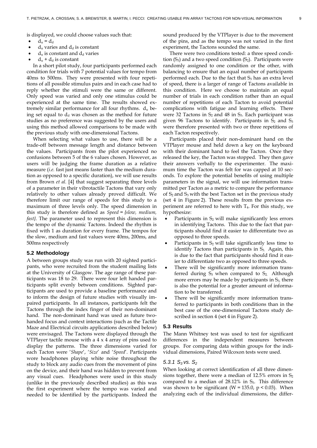is displayed, we could choose values such that:

- $d_u = d_d$
- $d_u$  varies and  $d_d$  is constant
- $d_u$  is constant and  $d_d$  varies
- $d_u + d_d$  is constant

In a short pilot study, four participants performed each condition for trials with 7 potential values for tempo from 40ms to 500ms. They were presented with four repetitions of all possible stimulus pairs and in each case had to reply whether the stimuli were the same or different. Only speed was varied and only one stimulus could be experienced at the same time. The results showed extremely similar performance for all four rhythms.  $d_u$  being set equal to  $d_d$  was chosen as the method for future studies as no preference was suggested by the users and using this method allowed comparisons to be made with the previous study with one-dimensional Tactons.

When selecting what values to use, there will be a trade-off between message length and distance between the values. Participants from the pilot experienced no confusions between 5 of the 6 values chosen. However, as users will be judging the frame duration as a relative measure (*i.e.* fast just means faster than the medium duration as opposed to a specific duration), we will use results from Brown *et al.* [4] that suggest separating three levels of a parameter in their vibrotactile Tactons that vary only relatively to other values already proved difficult. We therefore limit our range of speeds for this study to a maximum of three levels only. The speed dimension in this study is therefore defined as *Speed = {slow, medium, fast}*. The parameter used to represent this dimension is the tempo of the dynamic Tactons. Indeed the rhythm is fixed with 1 as duration for every frame. The tempos for the slow, medium and fast values were 40ms, 200ms, and 500ms respectively

#### **5.2 Methodology**

A between groups study was run with 20 sighted participants, who were recruited from the student mailing lists at the University of Glasgow. The age range of these participants was 18 to 29. There were four left handed participants split evenly between conditions. Sighted participants are used to provide a baseline performance and to inform the design of future studies with visually impaired participants. In all instances, participants felt the Tactons through the index finger of their non-dominant hand. The non-dominant hand was used as future twohanded focus and context interactions (such as the Tactile Maze and Electrical circuits applications described below) were envisaged. The Tactons were displayed through the VTPlayer tactile mouse with a  $4 \times 4$  array of pins used to display the patterns. The three dimensions varied for each Tacton were '*Shape*', '*Size*' and '*Speed*'. Participants wore headphones playing white noise throughout the study to block any audio cues from the movement of pins on the device, and their hand was hidden to prevent from any visual cues. Headphones were used in this study (unlike in the previously described studies) as this was the first experiment where the tempo was varied and needed to be identified by the participants. Indeed the

sound produced by the VTPlayer is due to the movement of the pins, and as the tempo was not varied in the first experiment, the Tactons sounded the same.

There were two conditions tested: a three speed condition  $(S_3)$  and a two speed condition  $(S_2)$ . Participants were randomly assigned to one condition or the other, with balancing to ensure that an equal number of participants performed each. Due to the fact that  $S_3$  has an extra level of speed, there is a larger of range of Tactons available in this condition. Here we choose to maintain an equal number of trials in each condition rather than an equal number of repetitions of each Tacton to avoid potential complications with fatigue and learning effects. There were 32 Tactons in  $S_2$  and 48 in  $S_3$ . Each participant was given 96 Tactons to identify. Participants in  $S_2$  and  $S_3$ were therefore presented with two or three repetitions of each Tacton respectively.

Participants placed their non-dominant hand on the VTPlayer mouse and held down a key on the keyboard with their dominant hand to feel the Tacton. Once they released the key, the Tacton was stopped. They then gave their answers verbally to the experimenter. The maximum time the Tacton was felt for was capped at 10 seconds. To explore the potential benefits of using multiple parameters in the signal, we will use information transmitted per Tacton as a metric to compare the performance of  $S_2$  and  $S_3$  with the best Tacton set in the previous study (set 4 in Figure 2). These results from the previous experiment are referred to here with  $T_4$ . For this study, we hypothesize:

- Participants in  $S_2$  will make significantly less errors in identifying Tactons. This due to the fact that participants should find it easier to differentiate two as opposed to three speeds.
- Participants in  $S_2$  will take significantly less time to identify Tactons than participants in  $S_3$ . Again, this is due to the fact that participants should find it easier to differentiate two as opposed to three speeds.
- There will be significantly more information transferred during  $S_3$  when compared to  $S_2$ . Although more errors may be made by participants in  $S<sub>3</sub>$ , there is also the potential for a greater amount of information to be transferred.
- There will be significantly more information transferred to participants in both conditions than in the best case of the one-dimensional Tactons study described in section 4 (set 4 in Figure 2).

#### **5.3 Results**

The Mann Whitney test was used to test for significant differences in the independent measures between groups. For comparing data within groups for the individual dimensions, Paired Wilcoxon tests were used.

#### 5.3.1  $S_3$  vs.  $S_2$

When looking at correct identification of all three dimensions together, there were a median of  $12.5\%$  errors in  $S_2$ compared to a median of  $28.12\%$  in  $S_3$ . This difference was shown to be significant (W = 135.0,  $p < 0.03$ ). When analyzing each of the individual dimensions, the differ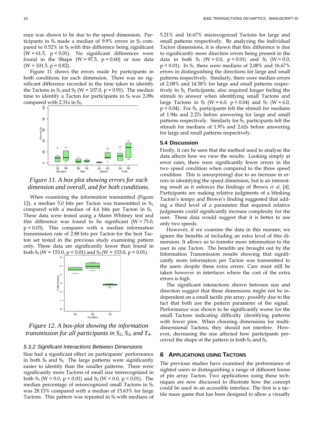ence was shown to be due to the speed dimension. Participants in  $S_3$  made a median of 9.9% errors in  $S_3$  compared to  $0.52\%$  in  $S_2$  with this difference being significant ( $W = 61.5$ ,  $p < 0.01$ ). No significant differences were found in the Shape ( $W = 97.5$ ,  $p = 0.60$ ) or size data  $(W = 101.5, p = 0.82)$ .

Figure 11 shows the errors made by participants in both conditions for each dimension. There was no significant difference recorded in the time taken to identify the Tactons in  $S_3$  and  $S_2$  (W = 107.0, p = 0.91). The median time to identify a Tacton for participants in  $S_3$  was 2.09s compared with 2.31s in  $S<sub>2</sub>$ .



*Figure 11. A box plot showing errors for each dimension and overall, and for both conditions.* 

When examining the information transmitted (Figure 12), a median 5.0 bits per Tacton was transmitted in  $S_3$ , compared with a median of 4.6 bits per Tacton in  $S<sub>2</sub>$ . These data were tested using a Mann Whitney test and this difference was found to be significant  $(W = 75.0)$ , p < 0.03). This compares with a median information transmission rate of 2.88 bits per Tacton for the best Tacton set tested in the previous study examining pattern only. These data are significantly lower than found in both  $S_3$  (W = 153.0, p < 0.01) and  $S_2$  (W = 153.0, p < 0.01).



*Figure 12. A box-plot showing the information transmission for all participants in*  $S_2$ ,  $S_3$ , and  $T_4$ .

#### *5.3.2 Significant Interactions Between Dimensions*

Size had a significant effect on participants' performance in both  $S_3$  and  $S_2$ . The large patterns were significantly easier to identify than the smaller patterns. There were significantly more Tactons of small size misrecognized in both  $S_3$  (W = 0.0, p < 0.01) and  $S_2$  (W = 0.0, p < 0.01). The median percentage of misrecognized small Tactons in  $S_3$ was 28.13% compared with a median of 15.63% for large Tactons. This pattern was repeated in  $S<sub>2</sub>$  with medians of

5.21% and 16.67% misrecognized Tactons for large and small patterns respectively. By analyzing the individual Tacton dimensions, it is shown that this difference is due to significantly more direction errors being present in the data in both S<sub>3</sub> (W = 0.0,  $p < 0.01$ ) and S<sub>2</sub> (W = 0.0,  $p \le 0.01$ ). In S<sub>3</sub>, there were medians of 2.08% and 16.67% errors in distinguishing the directions for large and small patterns respectively. Similarly, there were median errors of 2.08% and 14.58% for large and small patterns respectively in  $S_2$ . Participants, also required longer feeling the stimuli to answer when identifying small Tactons and large Tactons in  $S_3$  (W = 6.0, p < 0.04) and  $S_2$  (W = 6.0,  $p < 0.04$ ). For  $S_3$  participants felt the stimuli for medians of 1.94s and 2.27s before answering for large and small patterns respectively. Similarly for  $S_2$  participants felt the stimuli for medians of 1.97s and 2.62s before answering for large and small patterns respectively.

#### **5.4 Discussion**

Firstly, it can be seen that the method used to analyze the data affects how we view the results. Looking simply at error rates, there were significantly fewer errors in the two speed condition when compared to the three speed condition. This is unsurprisingl due to an increase in errors in identifying the speed dimension, but is an interesting result as it enforces the findings of Brown *et al.* [4]. Participants are making relative judgments of a blinking Tacton's tempo and Brown's finding suggested that adding a third level of a parameter that required relative judgments could significantly increase complexity for the user. These data would suggest that it is better to use only two speeds.

However, if we examine the data in this manner, we ignore the benefits of including an extra level of this dimension. It allows us to transfer more information to the user in one Tacton. The benefits are brought out by the Information Transmission results showing that significantly more information per Tacton was transmitted to the users despite these extra errors. Care must still be taken however in interfaces where the cost of the extra errors is high.

The significant interactions shown between size and direction suggest that these dimensions might not be independent on a small tactile pin array, possibly due to the fact that both use the pattern parameter of the signal. Performance was shown to be significantly worse for the small Tactons indicating difficulty identifying patterns with fewer pins. When choosing dimensions for multidimensional Tactons, they should not interfere. However, decreasing the size affected how participants perceived the shape of the pattern in both  $S_2$  and  $S_3$ .

#### **6 APPLICATIONS USING TACTONS**

The previous studies have examined the performance of sighted users in distinguishing a range of different forms of pin array Tacton. Two applications using these techniques are now discussed to illustrate how the concept could be used in an accessible interface. The first is a tactile maze game that has been designed to allow a visually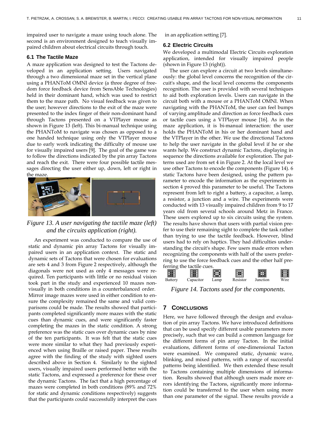impaired user to navigate a maze using touch alone. The second is an environment designed to teach visually impaired children about electrical circuits through touch.

#### **6.1 The Tactile Maze**

A maze application was designed to test the Tactons developed in an application setting. Users navigated through a two dimensional maze set in the vertical plane using a PHANToM OMNI device (a three degree of freedom force feedback device from SensAble Technologies) held in their dominant hand, which was used to restrict them to the maze path. No visual feedback was given to the user; however directions to the exit of the maze were presented to the index finger of their non-dominant hand through Tactons presented on a VTPlayer mouse as shown in Figure 13 (left). This bi-manual technique using the PHANToM to navigate was chosen as opposed to a one handed technique using only the VTPlayer mouse due to early work indicating the difficulty of mouse use for visually impaired users [9]. The goal of the game was to follow the directions indicated by the pin array Tactons and reach the exit. There were four possible tactile messages directing the user either up, down, left or right in the maze.



# *Figure 13. A user navigating the tactile maze (left) and the circuits application (right).*

An experiment was conducted to compare the use of static and dynamic pin array Tactons for visually impaired users in an application context. The static and dynamic sets of Tactons that were chosen for evaluations are sets 4 and 3 from Figure 2 respectively, although the diagonals were not used as only 4 messages were required. Ten participants with little or no residual vision took part in the study and experienced 10 mazes nonvisually in both conditions in a counterbalanced order. Mirror image mazes were used in either condition to ensure the complexity remained the same and valid comparisons could be made. The results showed that participants completed significantly more mazes with the static cues than dynamic cues, and were significantly faster completing the mazes in the static condition. A strong preference was the static cues over dynamic cues by nine of the ten participants. It was felt that the static cues were more similar to what they had previously experienced when using Braille or raised paper. These results agree with the finding of the study with sighted users described above in Section 4. Similarly to the sighted users, visually impaired users performed better with the static Tactons, and expressed a preference for these over the dynamic Tactons. The fact that a high percentage of mazes were completed in both conditions (89% and 72% for static and dynamic conditions respectively) suggests that the participants could successfully interpret the cues in an application setting [7].

#### **6.2 Electric Circuits**

We developed a multimodal Electric Circuits exploration application, intended for visually impaired people (shown in Figure 13 (right)).

The user can explore a circuit at two levels simultaneously: the global level concerns the recognition of the circuit's shape, and the local level concerns the components recognition. The user is provided with several techniques to aid both exploration levels. Users can navigate in the circuit both with a mouse or a PHANToM OMNI. When navigating with the PHANToM, the user can feel bumps of varying amplitude and direction as force feedback cues or tactile cues using a VTPlayer mouse [16]. As in the maze application, it is bi-manual interaction: the user holds the PHANToM in his or her dominant hand and the VTPlayer in the other. We use the directional Tactons to help the user navigate in the global level if he or she wants help. We construct dynamic Tactons, displaying in sequence the directions available for exploration. The patterns used are from set 4 in Figure 2. At the local level we use other Tactons to encode the components (Figure 14). 6 static Tactons have been designed, using the pattern parameter to encode the information as the experiments in section 4 proved this parameter to be useful. The Tactons represent from left to right a battery, a capacitor, a lamp, a resistor, a junction and a wire. The experiments were conducted with 13 visually impaired children from 9 to 17 years old from several schools around Metz in France. These users explored up to six circuits using the system. The results have shown that users with partial vision prefer to use their remaining sight to complete the task rather than trying to use the tactile feedback. However, blind users had to rely on haptics. They had difficulties understanding the circuit's shape. Few users made errors when recognizing the components with half of the users preferring to use the force feedback cues and the other half preferring the tactile cues.



*Figure 14. Tactons used for the components.* 

#### **7 CONCLUSIONS**

Here, we have followed through the design and evaluation of pin array Tactons. We have introduced definitions that can be used specify different usable parameters more precisely, such that we can build a common language for the different forms of pin array Tacton. In the initial evaluations, different forms of one-dimensional Tacton were examined. We compared static, dynamic wave, blinking, and mixed patterns, with a range of successful patterns being identified. We then extended these result to Tactons containing multiple dimensions of information. Results showed that although users made more errors identifying the Tactons, significantly more information could be transferred to the user when using more than one parameter of the signal. These results provide a